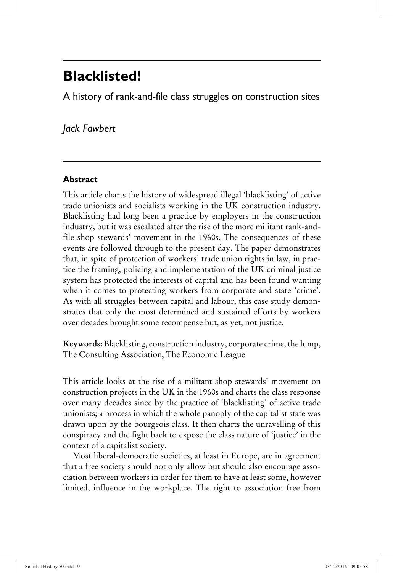# **Blacklisted!**

A history of rank-and-file class struggles on construction sites

# *Jack Fawbert*

## **Abstract**

This article charts the history of widespread illegal 'blacklisting' of active trade unionists and socialists working in the UK construction industry. Blacklisting had long been a practice by employers in the construction industry, but it was escalated after the rise of the more militant rank-andfile shop stewards' movement in the 1960s. The consequences of these events are followed through to the present day. The paper demonstrates that, in spite of protection of workers' trade union rights in law, in practice the framing, policing and implementation of the UK criminal justice system has protected the interests of capital and has been found wanting when it comes to protecting workers from corporate and state 'crime'. As with all struggles between capital and labour, this case study demonstrates that only the most determined and sustained efforts by workers over decades brought some recompense but, as yet, not justice.

**Keywords:** Blacklisting, construction industry, corporate crime, the lump, The Consulting Association, The Economic League

This article looks at the rise of a militant shop stewards' movement on construction projects in the UK in the 1960s and charts the class response over many decades since by the practice of 'blacklisting' of active trade unionists; a process in which the whole panoply of the capitalist state was drawn upon by the bourgeois class. It then charts the unravelling of this conspiracy and the fight back to expose the class nature of 'justice' in the context of a capitalist society.

Most liberal-democratic societies, at least in Europe, are in agreement that a free society should not only allow but should also encourage association between workers in order for them to have at least some, however limited, influence in the workplace. The right to association free from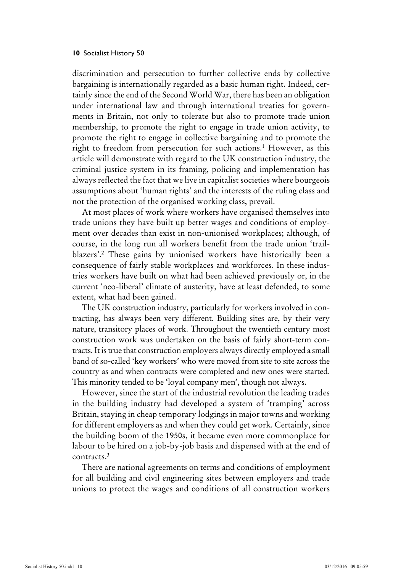discrimination and persecution to further collective ends by collective bargaining is internationally regarded as a basic human right. Indeed, certainly since the end of the Second World War, there has been an obligation under international law and through international treaties for governments in Britain, not only to tolerate but also to promote trade union membership, to promote the right to engage in trade union activity, to promote the right to engage in collective bargaining and to promote the right to freedom from persecution for such actions.<sup>1</sup> However, as this article will demonstrate with regard to the UK construction industry, the criminal justice system in its framing, policing and implementation has always reflected the fact that we live in capitalist societies where bourgeois assumptions about 'human rights' and the interests of the ruling class and not the protection of the organised working class, prevail.

At most places of work where workers have organised themselves into trade unions they have built up better wages and conditions of employment over decades than exist in non-unionised workplaces; although, of course, in the long run all workers benefit from the trade union 'trailblazers'.2 These gains by unionised workers have historically been a consequence of fairly stable workplaces and workforces. In these industries workers have built on what had been achieved previously or, in the current 'neo-liberal' climate of austerity, have at least defended, to some extent, what had been gained.

The UK construction industry, particularly for workers involved in contracting, has always been very different. Building sites are, by their very nature, transitory places of work. Throughout the twentieth century most construction work was undertaken on the basis of fairly short-term contracts. It is true that construction employers always directly employed a small band of so-called 'key workers' who were moved from site to site across the country as and when contracts were completed and new ones were started. This minority tended to be 'loyal company men', though not always.

However, since the start of the industrial revolution the leading trades in the building industry had developed a system of 'tramping' across Britain, staying in cheap temporary lodgings in major towns and working for different employers as and when they could get work. Certainly, since the building boom of the 1950s, it became even more commonplace for labour to be hired on a job-by-job basis and dispensed with at the end of contracts.3

There are national agreements on terms and conditions of employment for all building and civil engineering sites between employers and trade unions to protect the wages and conditions of all construction workers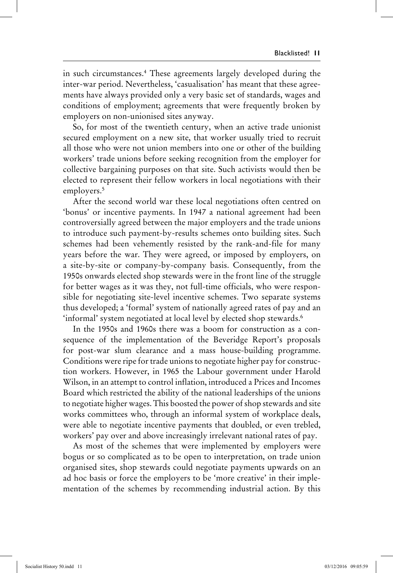in such circumstances.4 These agreements largely developed during the inter-war period. Nevertheless, 'casualisation' has meant that these agreements have always provided only a very basic set of standards, wages and conditions of employment; agreements that were frequently broken by employers on non-unionised sites anyway.

So, for most of the twentieth century, when an active trade unionist secured employment on a new site, that worker usually tried to recruit all those who were not union members into one or other of the building workers' trade unions before seeking recognition from the employer for collective bargaining purposes on that site. Such activists would then be elected to represent their fellow workers in local negotiations with their employers.<sup>5</sup>

After the second world war these local negotiations often centred on 'bonus' or incentive payments. In 1947 a national agreement had been controversially agreed between the major employers and the trade unions to introduce such payment-by-results schemes onto building sites. Such schemes had been vehemently resisted by the rank-and-file for many years before the war. They were agreed, or imposed by employers, on a site-by-site or company-by-company basis. Consequently, from the 1950s onwards elected shop stewards were in the front line of the struggle for better wages as it was they, not full-time officials, who were responsible for negotiating site-level incentive schemes. Two separate systems thus developed; a 'formal' system of nationally agreed rates of pay and an 'informal' system negotiated at local level by elected shop stewards.<sup>6</sup>

In the 1950s and 1960s there was a boom for construction as a consequence of the implementation of the Beveridge Report's proposals for post-war slum clearance and a mass house-building programme. Conditions were ripe for trade unions to negotiate higher pay for construction workers. However, in 1965 the Labour government under Harold Wilson, in an attempt to control inflation, introduced a Prices and Incomes Board which restricted the ability of the national leaderships of the unions to negotiate higher wages. This boosted the power of shop stewards and site works committees who, through an informal system of workplace deals, were able to negotiate incentive payments that doubled, or even trebled, workers' pay over and above increasingly irrelevant national rates of pay.

As most of the schemes that were implemented by employers were bogus or so complicated as to be open to interpretation, on trade union organised sites, shop stewards could negotiate payments upwards on an ad hoc basis or force the employers to be 'more creative' in their implementation of the schemes by recommending industrial action. By this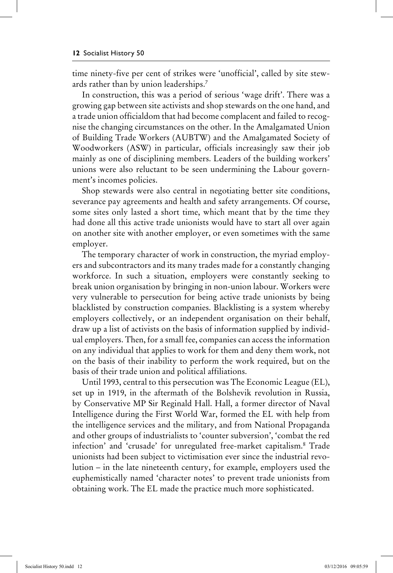time ninety-five per cent of strikes were 'unofficial', called by site stewards rather than by union leaderships.7

In construction, this was a period of serious 'wage drift'. There was a growing gap between site activists and shop stewards on the one hand, and a trade union officialdom that had become complacent and failed to recognise the changing circumstances on the other. In the Amalgamated Union of Building Trade Workers (AUBTW) and the Amalgamated Society of Woodworkers (ASW) in particular, officials increasingly saw their job mainly as one of disciplining members. Leaders of the building workers' unions were also reluctant to be seen undermining the Labour government's incomes policies.

Shop stewards were also central in negotiating better site conditions, severance pay agreements and health and safety arrangements. Of course, some sites only lasted a short time, which meant that by the time they had done all this active trade unionists would have to start all over again on another site with another employer, or even sometimes with the same employer.

The temporary character of work in construction, the myriad employers and subcontractors and its many trades made for a constantly changing workforce. In such a situation, employers were constantly seeking to break union organisation by bringing in non-union labour. Workers were very vulnerable to persecution for being active trade unionists by being blacklisted by construction companies. Blacklisting is a system whereby employers collectively, or an independent organisation on their behalf, draw up a list of activists on the basis of information supplied by individual employers. Then, for a small fee, companies can access the information on any individual that applies to work for them and deny them work, not on the basis of their inability to perform the work required, but on the basis of their trade union and political affiliations.

Until 1993, central to this persecution was The Economic League (EL), set up in 1919, in the aftermath of the Bolshevik revolution in Russia, by Conservative MP Sir Reginald Hall. Hall, a former director of Naval Intelligence during the First World War, formed the EL with help from the intelligence services and the military, and from National Propaganda and other groups of industrialists to 'counter subversion', 'combat the red infection' and 'crusade' for unregulated free-market capitalism.8 Trade unionists had been subject to victimisation ever since the industrial revolution – in the late nineteenth century, for example, employers used the euphemistically named 'character notes' to prevent trade unionists from obtaining work. The EL made the practice much more sophisticated.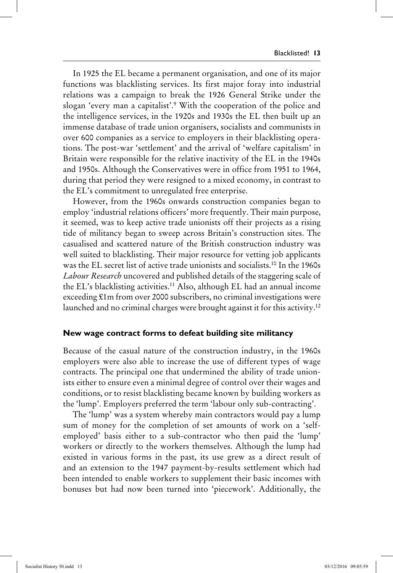In 1925 the EL became a permanent organisation, and one of its major functions was blacklisting services. Its first major foray into industrial relations was a campaign to break the 1926 General Strike under the slogan 'every man a capitalist'.9 With the cooperation of the police and the intelligence services, in the 1920s and 1930s the EL then built up an immense database of trade union organisers, socialists and communists in over 600 companies as a service to employers in their blacklisting operations. The post-war 'settlement' and the arrival of 'welfare capitalism' in Britain were responsible for the relative inactivity of the EL in the 1940s and 1950s. Although the Conservatives were in office from 1951 to 1964, during that period they were resigned to a mixed economy, in contrast to the EL's commitment to unregulated free enterprise.

However, from the 1960s onwards construction companies began to employ 'industrial relations officers' more frequently. Their main purpose, it seemed, was to keep active trade unionists off their projects as a rising tide of militancy began to sweep across Britain's construction sites. The casualised and scattered nature of the British construction industry was well suited to blacklisting. Their major resource for vetting job applicants was the EL secret list of active trade unionists and socialists.10 In the 1960s *Labour Research* uncovered and published details of the staggering scale of the EL's blacklisting activities.11 Also, although EL had an annual income exceeding £1m from over 2000 subscribers, no criminal investigations were launched and no criminal charges were brought against it for this activity.12

#### **New wage contract forms to defeat building site militancy**

Because of the casual nature of the construction industry, in the 1960s employers were also able to increase the use of different types of wage contracts. The principal one that undermined the ability of trade unionists either to ensure even a minimal degree of control over their wages and conditions, or to resist blacklisting became known by building workers as the 'lump'. Employers preferred the term 'labour only sub-contracting'.

The 'lump' was a system whereby main contractors would pay a lump sum of money for the completion of set amounts of work on a 'selfemployed' basis either to a sub-contractor who then paid the 'lump' workers or directly to the workers themselves. Although the lump had existed in various forms in the past, its use grew as a direct result of and an extension to the 1947 payment-by-results settlement which had been intended to enable workers to supplement their basic incomes with bonuses but had now been turned into 'piecework'. Additionally, the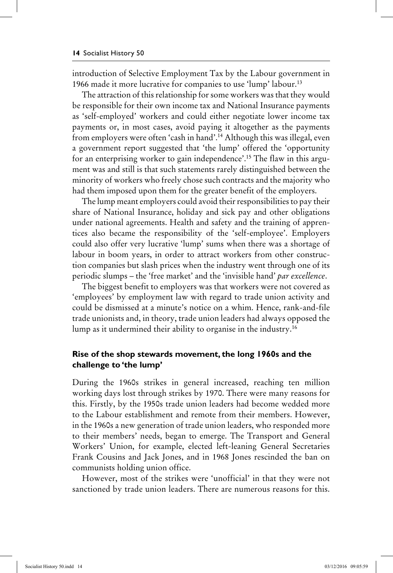introduction of Selective Employment Tax by the Labour government in 1966 made it more lucrative for companies to use 'lump' labour.13

The attraction of this relationship for some workers was that they would be responsible for their own income tax and National Insurance payments as 'self-employed' workers and could either negotiate lower income tax payments or, in most cases, avoid paying it altogether as the payments from employers were often 'cash in hand'.14 Although this was illegal, even a government report suggested that 'the lump' offered the 'opportunity for an enterprising worker to gain independence'.15 The flaw in this argument was and still is that such statements rarely distinguished between the minority of workers who freely chose such contracts and the majority who had them imposed upon them for the greater benefit of the employers.

The lump meant employers could avoid their responsibilities to pay their share of National Insurance, holiday and sick pay and other obligations under national agreements. Health and safety and the training of apprentices also became the responsibility of the 'self-employee'. Employers could also offer very lucrative 'lump' sums when there was a shortage of labour in boom years, in order to attract workers from other construction companies but slash prices when the industry went through one of its periodic slumps – the 'free market' and the 'invisible hand' *par excellence*.

The biggest benefit to employers was that workers were not covered as 'employees' by employment law with regard to trade union activity and could be dismissed at a minute's notice on a whim. Hence, rank-and-file trade unionists and, in theory, trade union leaders had always opposed the lump as it undermined their ability to organise in the industry.16

# **Rise of the shop stewards movement, the long 1960s and the challenge to 'the lump'**

During the 1960s strikes in general increased, reaching ten million working days lost through strikes by 1970. There were many reasons for this. Firstly, by the 1950s trade union leaders had become wedded more to the Labour establishment and remote from their members. However, in the 1960s a new generation of trade union leaders, who responded more to their members' needs, began to emerge. The Transport and General Workers' Union, for example, elected left-leaning General Secretaries Frank Cousins and Jack Jones, and in 1968 Jones rescinded the ban on communists holding union office.

However, most of the strikes were 'unofficial' in that they were not sanctioned by trade union leaders. There are numerous reasons for this.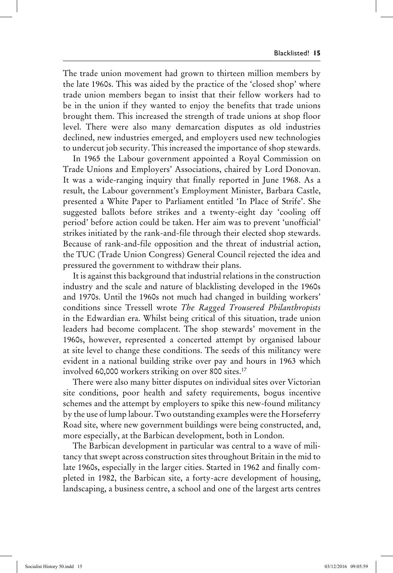The trade union movement had grown to thirteen million members by the late 1960s. This was aided by the practice of the 'closed shop' where trade union members began to insist that their fellow workers had to be in the union if they wanted to enjoy the benefits that trade unions brought them. This increased the strength of trade unions at shop floor level. There were also many demarcation disputes as old industries declined, new industries emerged, and employers used new technologies to undercut job security. This increased the importance of shop stewards.

In 1965 the Labour government appointed a Royal Commission on Trade Unions and Employers' Associations, chaired by Lord Donovan. It was a wide-ranging inquiry that finally reported in June 1968. As a result, the Labour government's Employment Minister, Barbara Castle, presented a White Paper to Parliament entitled 'In Place of Strife'. She suggested ballots before strikes and a twenty-eight day 'cooling off period' before action could be taken. Her aim was to prevent 'unofficial' strikes initiated by the rank-and-file through their elected shop stewards. Because of rank-and-file opposition and the threat of industrial action, the TUC (Trade Union Congress) General Council rejected the idea and pressured the government to withdraw their plans.

It is against this background that industrial relations in the construction industry and the scale and nature of blacklisting developed in the 1960s and 1970s. Until the 1960s not much had changed in building workers' conditions since Tressell wrote *The Ragged Trousered Philanthropists*  in the Edwardian era. Whilst being critical of this situation, trade union leaders had become complacent. The shop stewards' movement in the 1960s, however, represented a concerted attempt by organised labour at site level to change these conditions. The seeds of this militancy were evident in a national building strike over pay and hours in 1963 which involved 60,000 workers striking on over 800 sites.17

There were also many bitter disputes on individual sites over Victorian site conditions, poor health and safety requirements, bogus incentive schemes and the attempt by employers to spike this new-found militancy by the use of lump labour. Two outstanding examples were the Horseferry Road site, where new government buildings were being constructed, and, more especially, at the Barbican development, both in London.

The Barbican development in particular was central to a wave of militancy that swept across construction sites throughout Britain in the mid to late 1960s, especially in the larger cities. Started in 1962 and finally completed in 1982, the Barbican site, a forty-acre development of housing, landscaping, a business centre, a school and one of the largest arts centres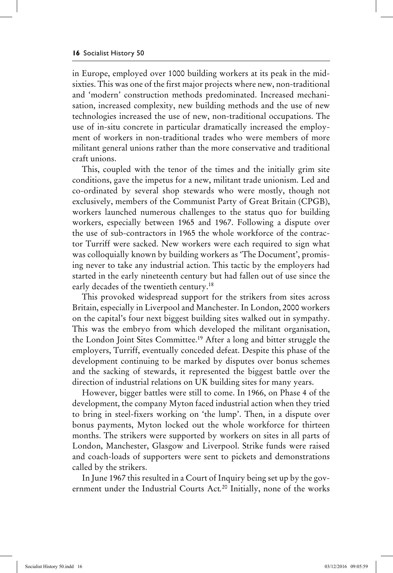in Europe, employed over 1000 building workers at its peak in the midsixties. This was one of the first major projects where new, non-traditional and 'modern' construction methods predominated. Increased mechanisation, increased complexity, new building methods and the use of new technologies increased the use of new, non-traditional occupations. The use of in-situ concrete in particular dramatically increased the employment of workers in non-traditional trades who were members of more militant general unions rather than the more conservative and traditional craft unions.

This, coupled with the tenor of the times and the initially grim site conditions, gave the impetus for a new, militant trade unionism. Led and co-ordinated by several shop stewards who were mostly, though not exclusively, members of the Communist Party of Great Britain (CPGB), workers launched numerous challenges to the status quo for building workers, especially between 1965 and 1967. Following a dispute over the use of sub-contractors in 1965 the whole workforce of the contractor Turriff were sacked. New workers were each required to sign what was colloquially known by building workers as 'The Document', promising never to take any industrial action. This tactic by the employers had started in the early nineteenth century but had fallen out of use since the early decades of the twentieth century.<sup>18</sup>

This provoked widespread support for the strikers from sites across Britain, especially in Liverpool and Manchester. In London, 2000 workers on the capital's four next biggest building sites walked out in sympathy. This was the embryo from which developed the militant organisation, the London Joint Sites Committee.19 After a long and bitter struggle the employers, Turriff, eventually conceded defeat. Despite this phase of the development continuing to be marked by disputes over bonus schemes and the sacking of stewards, it represented the biggest battle over the direction of industrial relations on UK building sites for many years.

However, bigger battles were still to come. In 1966, on Phase 4 of the development, the company Myton faced industrial action when they tried to bring in steel-fixers working on 'the lump'. Then, in a dispute over bonus payments, Myton locked out the whole workforce for thirteen months. The strikers were supported by workers on sites in all parts of London, Manchester, Glasgow and Liverpool. Strike funds were raised and coach-loads of supporters were sent to pickets and demonstrations called by the strikers.

In June 1967 this resulted in a Court of Inquiry being set up by the government under the Industrial Courts Act*.* 20 Initially, none of the works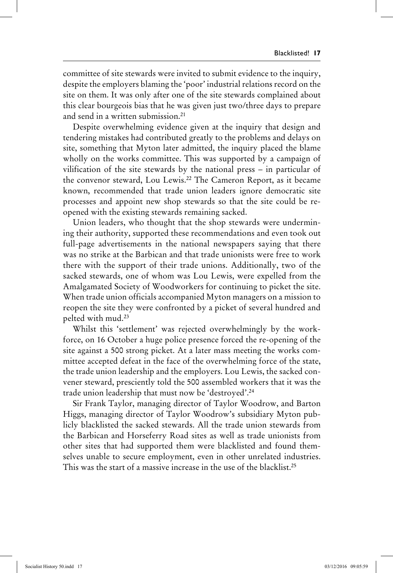committee of site stewards were invited to submit evidence to the inquiry, despite the employers blaming the 'poor' industrial relations record on the site on them. It was only after one of the site stewards complained about this clear bourgeois bias that he was given just two/three days to prepare and send in a written submission.<sup>21</sup>

Despite overwhelming evidence given at the inquiry that design and tendering mistakes had contributed greatly to the problems and delays on site, something that Myton later admitted, the inquiry placed the blame wholly on the works committee. This was supported by a campaign of vilification of the site stewards by the national press – in particular of the convenor steward, Lou Lewis.22 The Cameron Report, as it became known, recommended that trade union leaders ignore democratic site processes and appoint new shop stewards so that the site could be reopened with the existing stewards remaining sacked.

Union leaders, who thought that the shop stewards were undermining their authority, supported these recommendations and even took out full-page advertisements in the national newspapers saying that there was no strike at the Barbican and that trade unionists were free to work there with the support of their trade unions. Additionally, two of the sacked stewards, one of whom was Lou Lewis, were expelled from the Amalgamated Society of Woodworkers for continuing to picket the site. When trade union officials accompanied Myton managers on a mission to reopen the site they were confronted by a picket of several hundred and pelted with mud.23

Whilst this 'settlement' was rejected overwhelmingly by the workforce, on 16 October a huge police presence forced the re-opening of the site against a 500 strong picket. At a later mass meeting the works committee accepted defeat in the face of the overwhelming force of the state, the trade union leadership and the employers. Lou Lewis, the sacked convener steward, presciently told the 500 assembled workers that it was the trade union leadership that must now be 'destroyed'.24

Sir Frank Taylor, managing director of Taylor Woodrow, and Barton Higgs, managing director of Taylor Woodrow's subsidiary Myton publicly blacklisted the sacked stewards. All the trade union stewards from the Barbican and Horseferry Road sites as well as trade unionists from other sites that had supported them were blacklisted and found themselves unable to secure employment, even in other unrelated industries. This was the start of a massive increase in the use of the blacklist.25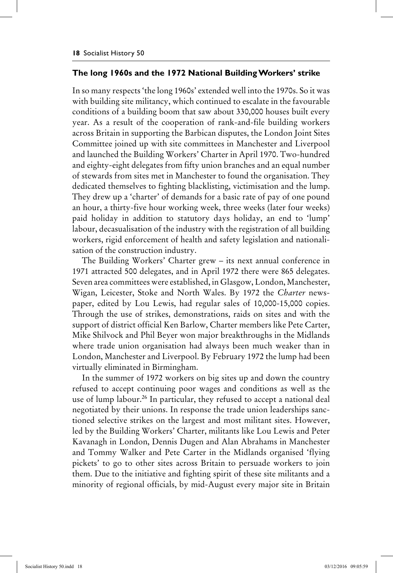#### **The long 1960s and the 1972 National Building Workers' strike**

In so many respects 'the long 1960s' extended well into the 1970s. So it was with building site militancy, which continued to escalate in the favourable conditions of a building boom that saw about 330,000 houses built every year. As a result of the cooperation of rank-and-file building workers across Britain in supporting the Barbican disputes, the London Joint Sites Committee joined up with site committees in Manchester and Liverpool and launched the Building Workers' Charter in April 1970. Two-hundred and eighty-eight delegates from fifty union branches and an equal number of stewards from sites met in Manchester to found the organisation. They dedicated themselves to fighting blacklisting, victimisation and the lump. They drew up a 'charter' of demands for a basic rate of pay of one pound an hour, a thirty-five hour working week, three weeks (later four weeks) paid holiday in addition to statutory days holiday, an end to 'lump' labour, decasualisation of the industry with the registration of all building workers, rigid enforcement of health and safety legislation and nationalisation of the construction industry.

The Building Workers' Charter grew – its next annual conference in 1971 attracted 500 delegates, and in April 1972 there were 865 delegates. Seven area committees were established, in Glasgow, London, Manchester, Wigan, Leicester, Stoke and North Wales. By 1972 the *Charter* newspaper, edited by Lou Lewis, had regular sales of 10,000-15,000 copies. Through the use of strikes, demonstrations, raids on sites and with the support of district official Ken Barlow, Charter members like Pete Carter, Mike Shilvock and Phil Beyer won major breakthroughs in the Midlands where trade union organisation had always been much weaker than in London, Manchester and Liverpool. By February 1972 the lump had been virtually eliminated in Birmingham.

In the summer of 1972 workers on big sites up and down the country refused to accept continuing poor wages and conditions as well as the use of lump labour.<sup>26</sup> In particular, they refused to accept a national deal negotiated by their unions. In response the trade union leaderships sanctioned selective strikes on the largest and most militant sites. However, led by the Building Workers' Charter, militants like Lou Lewis and Peter Kavanagh in London, Dennis Dugen and Alan Abrahams in Manchester and Tommy Walker and Pete Carter in the Midlands organised 'flying pickets' to go to other sites across Britain to persuade workers to join them. Due to the initiative and fighting spirit of these site militants and a minority of regional officials, by mid-August every major site in Britain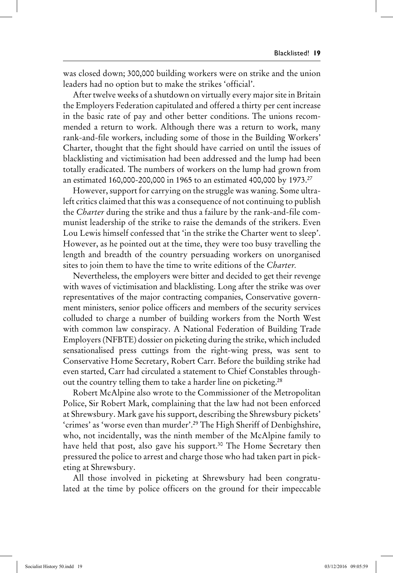was closed down; 300,000 building workers were on strike and the union leaders had no option but to make the strikes 'official'.

After twelve weeks of a shutdown on virtually every major site in Britain the Employers Federation capitulated and offered a thirty per cent increase in the basic rate of pay and other better conditions. The unions recommended a return to work. Although there was a return to work, many rank-and-file workers, including some of those in the Building Workers' Charter, thought that the fight should have carried on until the issues of blacklisting and victimisation had been addressed and the lump had been totally eradicated. The numbers of workers on the lump had grown from an estimated 160,000-200,000 in 1965 to an estimated 400,000 by 1973.27

However, support for carrying on the struggle was waning. Some ultraleft critics claimed that this was a consequence of not continuing to publish the *Charter* during the strike and thus a failure by the rank-and-file communist leadership of the strike to raise the demands of the strikers. Even Lou Lewis himself confessed that 'in the strike the Charter went to sleep'. However, as he pointed out at the time, they were too busy travelling the length and breadth of the country persuading workers on unorganised sites to join them to have the time to write editions of the *Charter.*

Nevertheless, the employers were bitter and decided to get their revenge with waves of victimisation and blacklisting. Long after the strike was over representatives of the major contracting companies, Conservative government ministers, senior police officers and members of the security services colluded to charge a number of building workers from the North West with common law conspiracy. A National Federation of Building Trade Employers (NFBTE) dossier on picketing during the strike, which included sensationalised press cuttings from the right-wing press, was sent to Conservative Home Secretary, Robert Carr. Before the building strike had even started, Carr had circulated a statement to Chief Constables throughout the country telling them to take a harder line on picketing.28

Robert McAlpine also wrote to the Commissioner of the Metropolitan Police, Sir Robert Mark, complaining that the law had not been enforced at Shrewsbury. Mark gave his support, describing the Shrewsbury pickets' 'crimes' as 'worse even than murder'.<sup>29</sup> The High Sheriff of Denbighshire, who, not incidentally, was the ninth member of the McAlpine family to have held that post, also gave his support.<sup>30</sup> The Home Secretary then pressured the police to arrest and charge those who had taken part in picketing at Shrewsbury.

All those involved in picketing at Shrewsbury had been congratulated at the time by police officers on the ground for their impeccable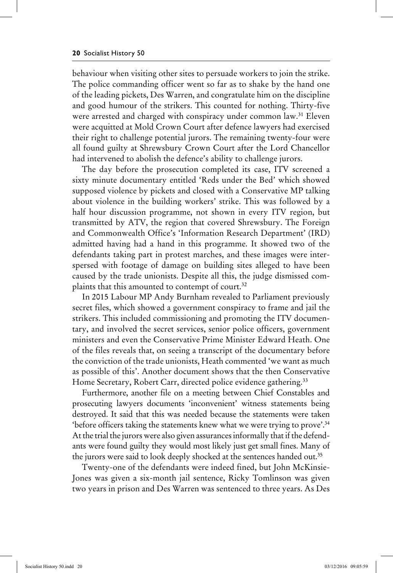behaviour when visiting other sites to persuade workers to join the strike. The police commanding officer went so far as to shake by the hand one of the leading pickets, Des Warren, and congratulate him on the discipline and good humour of the strikers. This counted for nothing. Thirty-five were arrested and charged with conspiracy under common law.<sup>31</sup> Eleven were acquitted at Mold Crown Court after defence lawyers had exercised their right to challenge potential jurors. The remaining twenty-four were all found guilty at Shrewsbury Crown Court after the Lord Chancellor had intervened to abolish the defence's ability to challenge jurors.

The day before the prosecution completed its case, ITV screened a sixty minute documentary entitled 'Reds under the Bed' which showed supposed violence by pickets and closed with a Conservative MP talking about violence in the building workers' strike. This was followed by a half hour discussion programme, not shown in every ITV region, but transmitted by ATV, the region that covered Shrewsbury. The Foreign and Commonwealth Office's 'Information Research Department' (IRD) admitted having had a hand in this programme. It showed two of the defendants taking part in protest marches, and these images were interspersed with footage of damage on building sites alleged to have been caused by the trade unionists. Despite all this, the judge dismissed complaints that this amounted to contempt of court.<sup>32</sup>

In 2015 Labour MP Andy Burnham revealed to Parliament previously secret files, which showed a government conspiracy to frame and jail the strikers. This included commissioning and promoting the ITV documentary, and involved the secret services, senior police officers, government ministers and even the Conservative Prime Minister Edward Heath. One of the files reveals that, on seeing a transcript of the documentary before the conviction of the trade unionists, Heath commented 'we want as much as possible of this'. Another document shows that the then Conservative Home Secretary, Robert Carr, directed police evidence gathering.<sup>33</sup>

Furthermore, another file on a meeting between Chief Constables and prosecuting lawyers documents 'inconvenient' witness statements being destroyed. It said that this was needed because the statements were taken 'before officers taking the statements knew what we were trying to prove'.34 At the trial the jurors were also given assurances informally that if the defendants were found guilty they would most likely just get small fines. Many of the jurors were said to look deeply shocked at the sentences handed out.<sup>35</sup>

Twenty-one of the defendants were indeed fined, but John McKinsie-Jones was given a six-month jail sentence, Ricky Tomlinson was given two years in prison and Des Warren was sentenced to three years. As Des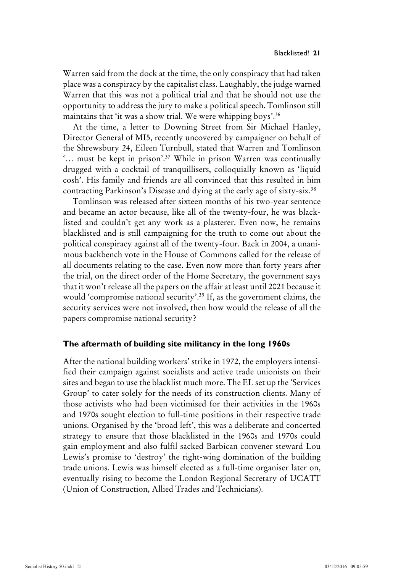Warren said from the dock at the time, the only conspiracy that had taken place was a conspiracy by the capitalist class. Laughably, the judge warned Warren that this was not a political trial and that he should not use the opportunity to address the jury to make a political speech. Tomlinson still maintains that 'it was a show trial. We were whipping boys'.36

At the time, a letter to Downing Street from Sir Michael Hanley, Director General of MI5, recently uncovered by campaigner on behalf of the Shrewsbury 24, Eileen Turnbull, stated that Warren and Tomlinson '… must be kept in prison'.37 While in prison Warren was continually drugged with a cocktail of tranquillisers, colloquially known as 'liquid cosh'. His family and friends are all convinced that this resulted in him contracting Parkinson's Disease and dying at the early age of sixty-six.<sup>38</sup>

Tomlinson was released after sixteen months of his two-year sentence and became an actor because, like all of the twenty-four, he was blacklisted and couldn't get any work as a plasterer. Even now, he remains blacklisted and is still campaigning for the truth to come out about the political conspiracy against all of the twenty-four. Back in 2004, a unanimous backbench vote in the House of Commons called for the release of all documents relating to the case. Even now more than forty years after the trial, on the direct order of the Home Secretary, the government says that it won't release all the papers on the affair at least until 2021 because it would 'compromise national security'.<sup>39</sup> If, as the government claims, the security services were not involved, then how would the release of all the papers compromise national security?

### **The aftermath of building site militancy in the long 1960s**

After the national building workers' strike in 1972, the employers intensified their campaign against socialists and active trade unionists on their sites and began to use the blacklist much more. The EL set up the 'Services Group' to cater solely for the needs of its construction clients. Many of those activists who had been victimised for their activities in the 1960s and 1970s sought election to full-time positions in their respective trade unions. Organised by the 'broad left', this was a deliberate and concerted strategy to ensure that those blacklisted in the 1960s and 1970s could gain employment and also fulfil sacked Barbican convener steward Lou Lewis's promise to 'destroy' the right-wing domination of the building trade unions. Lewis was himself elected as a full-time organiser later on, eventually rising to become the London Regional Secretary of UCATT (Union of Construction, Allied Trades and Technicians).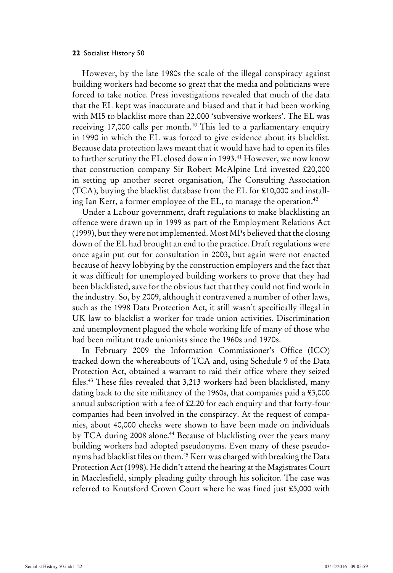However, by the late 1980s the scale of the illegal conspiracy against building workers had become so great that the media and politicians were forced to take notice. Press investigations revealed that much of the data that the EL kept was inaccurate and biased and that it had been working with MI5 to blacklist more than 22,000 'subversive workers'. The EL was receiving 17,000 calls per month.<sup>40</sup> This led to a parliamentary enquiry in 1990 in which the EL was forced to give evidence about its blacklist. Because data protection laws meant that it would have had to open its files to further scrutiny the EL closed down in 1993.<sup>41</sup> However, we now know that construction company Sir Robert McAlpine Ltd invested £20,000 in setting up another secret organisation, The Consulting Association (TCA), buying the blacklist database from the EL for £10,000 and installing Ian Kerr, a former employee of the EL, to manage the operation.<sup>42</sup>

Under a Labour government, draft regulations to make blacklisting an offence were drawn up in 1999 as part of the Employment Relations Act (1999), but they were not implemented. Most MPs believed that the closing down of the EL had brought an end to the practice. Draft regulations were once again put out for consultation in 2003, but again were not enacted because of heavy lobbying by the construction employers and the fact that it was difficult for unemployed building workers to prove that they had been blacklisted, save for the obvious fact that they could not find work in the industry. So, by 2009, although it contravened a number of other laws, such as the 1998 Data Protection Act, it still wasn't specifically illegal in UK law to blacklist a worker for trade union activities. Discrimination and unemployment plagued the whole working life of many of those who had been militant trade unionists since the 1960s and 1970s.

In February 2009 the Information Commissioner's Office (ICO) tracked down the whereabouts of TCA and, using Schedule 9 of the Data Protection Act, obtained a warrant to raid their office where they seized files.43 These files revealed that 3,213 workers had been blacklisted, many dating back to the site militancy of the 1960s, that companies paid a £3,000 annual subscription with a fee of £2.20 for each enquiry and that forty-four companies had been involved in the conspiracy. At the request of companies, about 40,000 checks were shown to have been made on individuals by TCA during 2008 alone.<sup>44</sup> Because of blacklisting over the years many building workers had adopted pseudonyms. Even many of these pseudonyms had blacklist files on them.45 Kerr was charged with breaking the Data Protection Act (1998). He didn't attend the hearing at the Magistrates Court in Macclesfield, simply pleading guilty through his solicitor. The case was referred to Knutsford Crown Court where he was fined just £5,000 with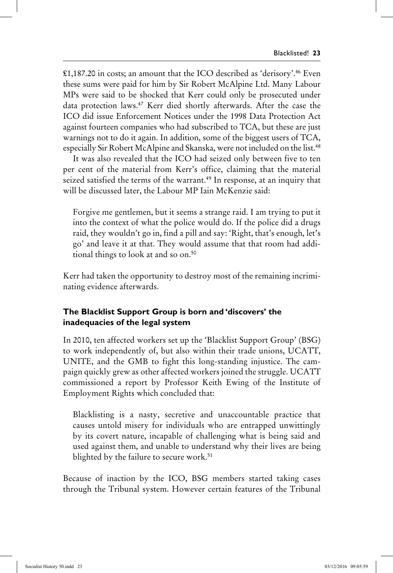£1,187.20 in costs; an amount that the ICO described as 'derisory'.46 Even these sums were paid for him by Sir Robert McAlpine Ltd. Many Labour MPs were said to be shocked that Kerr could only be prosecuted under data protection laws.47 Kerr died shortly afterwards. After the case the ICO did issue Enforcement Notices under the 1998 Data Protection Act against fourteen companies who had subscribed to TCA, but these are just warnings not to do it again. In addition, some of the biggest users of TCA, especially Sir Robert McAlpine and Skanska, were not included on the list.<sup>48</sup>

It was also revealed that the ICO had seized only between five to ten per cent of the material from Kerr's office, claiming that the material seized satisfied the terms of the warrant.<sup>49</sup> In response, at an inquiry that will be discussed later, the Labour MP Iain McKenzie said:

Forgive me gentlemen, but it seems a strange raid. I am trying to put it into the context of what the police would do. If the police did a drugs raid, they wouldn't go in, find a pill and say: 'Right, that's enough, let's go' and leave it at that. They would assume that that room had additional things to look at and so on.<sup>50</sup>

Kerr had taken the opportunity to destroy most of the remaining incriminating evidence afterwards.

# **The Blacklist Support Group is born and 'discovers' the inadequacies of the legal system**

In 2010, ten affected workers set up the 'Blacklist Support Group' (BSG) to work independently of, but also within their trade unions, UCATT, UNITE, and the GMB to fight this long-standing injustice. The campaign quickly grew as other affected workers joined the struggle. UCATT commissioned a report by Professor Keith Ewing of the Institute of Employment Rights which concluded that:

Blacklisting is a nasty, secretive and unaccountable practice that causes untold misery for individuals who are entrapped unwittingly by its covert nature, incapable of challenging what is being said and used against them, and unable to understand why their lives are being blighted by the failure to secure work.<sup>51</sup>

Because of inaction by the ICO, BSG members started taking cases through the Tribunal system. However certain features of the Tribunal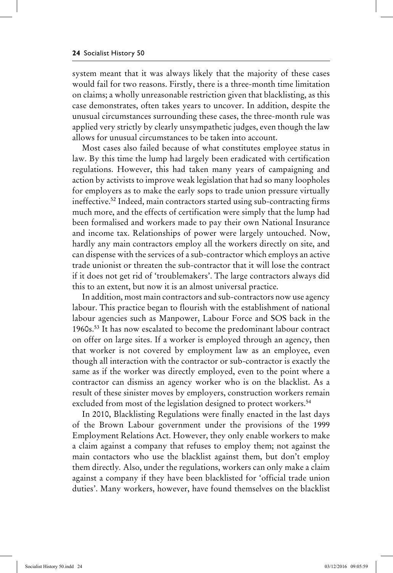system meant that it was always likely that the majority of these cases would fail for two reasons. Firstly, there is a three-month time limitation on claims; a wholly unreasonable restriction given that blacklisting, as this case demonstrates, often takes years to uncover. In addition, despite the unusual circumstances surrounding these cases, the three-month rule was applied very strictly by clearly unsympathetic judges, even though the law allows for unusual circumstances to be taken into account.

Most cases also failed because of what constitutes employee status in law. By this time the lump had largely been eradicated with certification regulations. However, this had taken many years of campaigning and action by activists to improve weak legislation that had so many loopholes for employers as to make the early sops to trade union pressure virtually ineffective.<sup>52</sup> Indeed, main contractors started using sub-contracting firms much more, and the effects of certification were simply that the lump had been formalised and workers made to pay their own National Insurance and income tax. Relationships of power were largely untouched. Now, hardly any main contractors employ all the workers directly on site, and can dispense with the services of a sub-contractor which employs an active trade unionist or threaten the sub-contractor that it will lose the contract if it does not get rid of 'troublemakers'. The large contractors always did this to an extent, but now it is an almost universal practice.

In addition, most main contractors and sub-contractors now use agency labour. This practice began to flourish with the establishment of national labour agencies such as Manpower, Labour Force and SOS back in the 1960s.53 It has now escalated to become the predominant labour contract on offer on large sites. If a worker is employed through an agency, then that worker is not covered by employment law as an employee, even though all interaction with the contractor or sub-contractor is exactly the same as if the worker was directly employed, even to the point where a contractor can dismiss an agency worker who is on the blacklist. As a result of these sinister moves by employers, construction workers remain excluded from most of the legislation designed to protect workers.<sup>54</sup>

In 2010, Blacklisting Regulations were finally enacted in the last days of the Brown Labour government under the provisions of the 1999 Employment Relations Act. However, they only enable workers to make a claim against a company that refuses to employ them; not against the main contactors who use the blacklist against them, but don't employ them directly*.* Also, under the regulations, workers can only make a claim against a company if they have been blacklisted for 'official trade union duties'. Many workers, however, have found themselves on the blacklist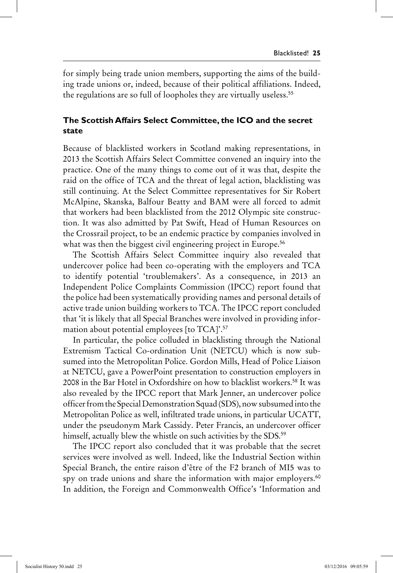for simply being trade union members, supporting the aims of the building trade unions or, indeed, because of their political affiliations. Indeed, the regulations are so full of loopholes they are virtually useless.<sup>55</sup>

### **The Scottish Affairs Select Committee, the ICO and the secret state**

Because of blacklisted workers in Scotland making representations, in 2013 the Scottish Affairs Select Committee convened an inquiry into the practice. One of the many things to come out of it was that, despite the raid on the office of TCA and the threat of legal action, blacklisting was still continuing. At the Select Committee representatives for Sir Robert McAlpine, Skanska, Balfour Beatty and BAM were all forced to admit that workers had been blacklisted from the 2012 Olympic site construction. It was also admitted by Pat Swift, Head of Human Resources on the Crossrail project, to be an endemic practice by companies involved in what was then the biggest civil engineering project in Europe.<sup>56</sup>

The Scottish Affairs Select Committee inquiry also revealed that undercover police had been co-operating with the employers and TCA to identify potential 'troublemakers'. As a consequence, in 2013 an Independent Police Complaints Commission (IPCC) report found that the police had been systematically providing names and personal details of active trade union building workers to TCA. The IPCC report concluded that 'it is likely that all Special Branches were involved in providing information about potential employees [to TCA]'.57

In particular, the police colluded in blacklisting through the National Extremism Tactical Co-ordination Unit (NETCU) which is now subsumed into the Metropolitan Police. Gordon Mills, Head of Police Liaison at NETCU, gave a PowerPoint presentation to construction employers in 2008 in the Bar Hotel in Oxfordshire on how to blacklist workers.58 It was also revealed by the IPCC report that Mark Jenner, an undercover police officer from the Special Demonstration Squad (SDS), now subsumed into the Metropolitan Police as well, infiltrated trade unions, in particular UCATT, under the pseudonym Mark Cassidy. Peter Francis, an undercover officer himself, actually blew the whistle on such activities by the SDS.<sup>59</sup>

The IPCC report also concluded that it was probable that the secret services were involved as well. Indeed, like the Industrial Section within Special Branch, the entire raison d'être of the F2 branch of MI5 was to spy on trade unions and share the information with major employers.<sup>60</sup> In addition, the Foreign and Commonwealth Office's 'Information and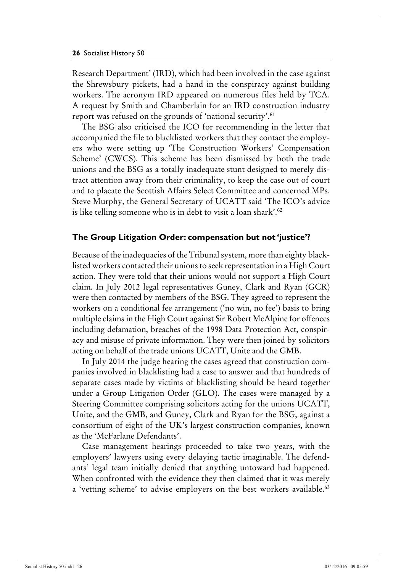Research Department' (IRD), which had been involved in the case against the Shrewsbury pickets, had a hand in the conspiracy against building workers. The acronym IRD appeared on numerous files held by TCA. A request by Smith and Chamberlain for an IRD construction industry report was refused on the grounds of 'national security'.61

The BSG also criticised the ICO for recommending in the letter that accompanied the file to blacklisted workers that they contact the employers who were setting up 'The Construction Workers' Compensation Scheme' (CWCS). This scheme has been dismissed by both the trade unions and the BSG as a totally inadequate stunt designed to merely distract attention away from their criminality, to keep the case out of court and to placate the Scottish Affairs Select Committee and concerned MPs. Steve Murphy, the General Secretary of UCATT said 'The ICO's advice is like telling someone who is in debt to visit a loan shark'.<sup>62</sup>

#### **The Group Litigation Order: compensation but not 'justice'?**

Because of the inadequacies of the Tribunal system, more than eighty blacklisted workers contacted their unions to seek representation in a High Court action. They were told that their unions would not support a High Court claim. In July 2012 legal representatives Guney, Clark and Ryan (GCR) were then contacted by members of the BSG. They agreed to represent the workers on a conditional fee arrangement ('no win, no fee') basis to bring multiple claims in the High Court against Sir Robert McAlpine for offences including defamation, breaches of the 1998 Data Protection Act, conspiracy and misuse of private information. They were then joined by solicitors acting on behalf of the trade unions UCATT, Unite and the GMB.

In July 2014 the judge hearing the cases agreed that construction companies involved in blacklisting had a case to answer and that hundreds of separate cases made by victims of blacklisting should be heard together under a Group Litigation Order (GLO). The cases were managed by a Steering Committee comprising solicitors acting for the unions UCATT, Unite, and the GMB, and Guney, Clark and Ryan for the BSG, against a consortium of eight of the UK's largest construction companies, known as the 'McFarlane Defendants'.

Case management hearings proceeded to take two years, with the employers' lawyers using every delaying tactic imaginable. The defendants' legal team initially denied that anything untoward had happened. When confronted with the evidence they then claimed that it was merely a 'vetting scheme' to advise employers on the best workers available.<sup>63</sup>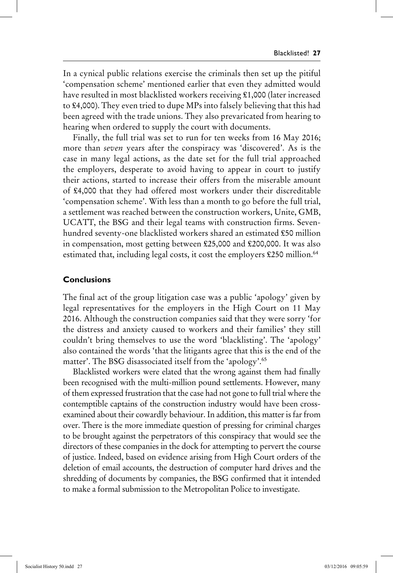In a cynical public relations exercise the criminals then set up the pitiful 'compensation scheme' mentioned earlier that even they admitted would have resulted in most blacklisted workers receiving £1,000 (later increased to £4,000). They even tried to dupe MPs into falsely believing that this had been agreed with the trade unions. They also prevaricated from hearing to hearing when ordered to supply the court with documents.

Finally, the full trial was set to run for ten weeks from 16 May 2016; more than *seven* years after the conspiracy was 'discovered'. As is the case in many legal actions, as the date set for the full trial approached the employers, desperate to avoid having to appear in court to justify their actions, started to increase their offers from the miserable amount of £4,000 that they had offered most workers under their discreditable 'compensation scheme'. With less than a month to go before the full trial, a settlement was reached between the construction workers, Unite, GMB, UCATT, the BSG and their legal teams with construction firms. Sevenhundred seventy-one blacklisted workers shared an estimated £50 million in compensation, most getting between £25,000 and £200,000. It was also estimated that, including legal costs, it cost the employers £250 million.<sup>64</sup>

#### **Conclusions**

The final act of the group litigation case was a public 'apology' given by legal representatives for the employers in the High Court on 11 May 2016. Although the construction companies said that they were sorry 'for the distress and anxiety caused to workers and their families' they still couldn't bring themselves to use the word 'blacklisting'. The 'apology' also contained the words 'that the litigants agree that this is the end of the matter'. The BSG disassociated itself from the 'apology'.65

Blacklisted workers were elated that the wrong against them had finally been recognised with the multi-million pound settlements. However, many of them expressed frustration that the case had not gone to full trial where the contemptible captains of the construction industry would have been crossexamined about their cowardly behaviour. In addition, this matter is far from over. There is the more immediate question of pressing for criminal charges to be brought against the perpetrators of this conspiracy that would see the directors of these companies in the dock for attempting to pervert the course of justice. Indeed, based on evidence arising from High Court orders of the deletion of email accounts, the destruction of computer hard drives and the shredding of documents by companies, the BSG confirmed that it intended to make a formal submission to the Metropolitan Police to investigate.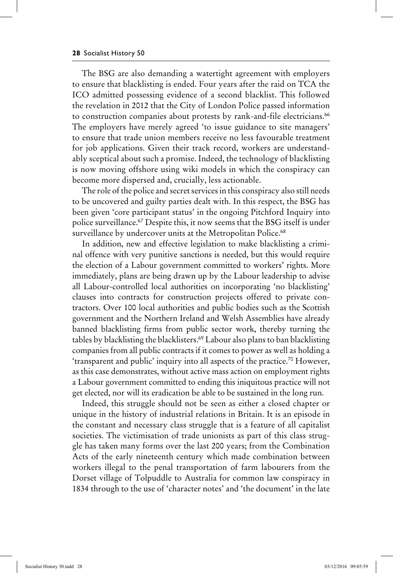The BSG are also demanding a watertight agreement with employers to ensure that blacklisting is ended. Four years after the raid on TCA the ICO admitted possessing evidence of a second blacklist. This followed the revelation in 2012 that the City of London Police passed information to construction companies about protests by rank-and-file electricians.<sup>66</sup> The employers have merely agreed 'to issue guidance to site managers' to ensure that trade union members receive no less favourable treatment for job applications. Given their track record, workers are understandably sceptical about such a promise. Indeed, the technology of blacklisting is now moving offshore using wiki models in which the conspiracy can become more dispersed and, crucially, less actionable.

The role of the police and secret services in this conspiracy also still needs to be uncovered and guilty parties dealt with. In this respect, the BSG has been given 'core participant status' in the ongoing Pitchford Inquiry into police surveillance.<sup>67</sup> Despite this, it now seems that the BSG itself is under surveillance by undercover units at the Metropolitan Police.<sup>68</sup>

In addition, new and effective legislation to make blacklisting a criminal offence with very punitive sanctions is needed, but this would require the election of a Labour government committed to workers' rights. More immediately, plans are being drawn up by the Labour leadership to advise all Labour-controlled local authorities on incorporating 'no blacklisting' clauses into contracts for construction projects offered to private contractors. Over 100 local authorities and public bodies such as the Scottish government and the Northern Ireland and Welsh Assemblies have already banned blacklisting firms from public sector work, thereby turning the tables by blacklisting the blacklisters.69 Labour also plans to ban blacklisting companies from all public contracts if it comes to power as well as holding a 'transparent and public' inquiry into all aspects of the practice.70 However, as this case demonstrates, without active mass action on employment rights a Labour government committed to ending this iniquitous practice will not get elected, nor will its eradication be able to be sustained in the long run.

Indeed, this struggle should not be seen as either a closed chapter or unique in the history of industrial relations in Britain. It is an episode in the constant and necessary class struggle that is a feature of all capitalist societies. The victimisation of trade unionists as part of this class struggle has taken many forms over the last 200 years; from the Combination Acts of the early nineteenth century which made combination between workers illegal to the penal transportation of farm labourers from the Dorset village of Tolpuddle to Australia for common law conspiracy in 1834 through to the use of 'character notes' and 'the document' in the late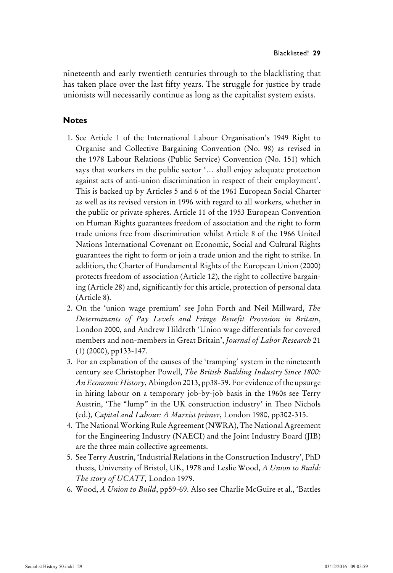nineteenth and early twentieth centuries through to the blacklisting that has taken place over the last fifty years. The struggle for justice by trade unionists will necessarily continue as long as the capitalist system exists.

### **Notes**

- 1. See Article 1 of the International Labour Organisation's 1949 Right to Organise and Collective Bargaining Convention (No. 98) as revised in the 1978 Labour Relations (Public Service) Convention (No. 151) which says that workers in the public sector '… shall enjoy adequate protection against acts of anti-union discrimination in respect of their employment'. This is backed up by Articles 5 and 6 of the 1961 European Social Charter as well as its revised version in 1996 with regard to all workers, whether in the public or private spheres. Article 11 of the 1953 European Convention on Human Rights guarantees freedom of association and the right to form trade unions free from discrimination whilst Article 8 of the 1966 United Nations International Covenant on Economic, Social and Cultural Rights guarantees the right to form or join a trade union and the right to strike. In addition, the Charter of Fundamental Rights of the European Union (2000) protects freedom of association (Article 12), the right to collective bargaining (Article 28) and, significantly for this article, protection of personal data (Article 8).
- 2. On the 'union wage premium' see John Forth and Neil Millward, *The Determinants of Pay Levels and Fringe Benefit Provision in Britain*, London 2000, and Andrew Hildreth 'Union wage differentials for covered members and non-members in Great Britain', *Journal of Labor Research* 21 (1) (2000), pp133-147.
- 3. For an explanation of the causes of the 'tramping' system in the nineteenth century see Christopher Powell, *The British Building Industry Since 1800: An Economic History*, Abingdon 2013, pp38-39. For evidence of the upsurge in hiring labour on a temporary job-by-job basis in the 1960s see Terry Austrin, 'The "lump" in the UK construction industry' in Theo Nichols (ed.), *Capital and Labour: A Marxist primer*, London 1980, pp302-315.
- 4. The National Working Rule Agreement(NWRA), The National Agreement for the Engineering Industry (NAECI) and the Joint Industry Board (JIB) are the three main collective agreements.
- 5. See Terry Austrin, 'Industrial Relations in the Construction Industry', PhD thesis, University of Bristol, UK, 1978 and Leslie Wood, *A Union to Build: The story of UCATT,* London 1979.
- 6. Wood, *A Union to Build*, pp59-69. Also see Charlie McGuire et al., 'Battles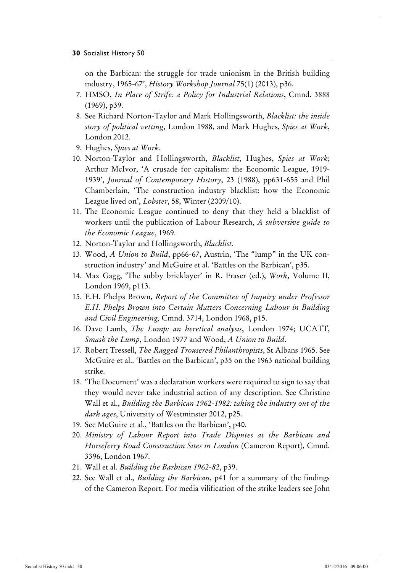on the Barbican: the struggle for trade unionism in the British building industry, 1965-67', *History Workshop Journal* 75(1) (2013), p36.

- 7. HMSO, *In Place of Strife: a Policy for Industrial Relations*, Cmnd. 3888 (1969), p39.
- 8. See Richard Norton-Taylor and Mark Hollingsworth, *Blacklist: the inside story of political vetting*, London 1988, and Mark Hughes, *Spies at Work*, London 2012.
- 9. Hughes, *Spies at Work*.
- 10. Norton-Taylor and Hollingsworth, *Blacklist,* Hughes, *Spies at Work*; Arthur McIvor, 'A crusade for capitalism: the Economic League, 1919- 1939', *Journal of Contemporary History*, 23 (1988), pp631-655 and Phil Chamberlain, 'The construction industry blacklist: how the Economic League lived on', *Lobster*, 58, Winter (2009/10).
- 11. The Economic League continued to deny that they held a blacklist of workers until the publication of Labour Research, *A subversive guide to the Economic League*, 1969.
- 12. Norton-Taylor and Hollingsworth, *Blacklist.*
- 13. Wood, *A Union to Build*, pp66-67, Austrin, 'The "lump" in the UK construction industry' and McGuire et al. 'Battles on the Barbican', p35.
- 14. Max Gagg, 'The subby bricklayer' in R. Fraser (ed.), *Work*, Volume II, London 1969, p113.
- 15. E.H. Phelps Brown, *Report of the Committee of Inquiry under Professor E.H. Phelps Brown into Certain Matters Concerning Labour in Building and Civil Engineering,* Cmnd. 3714, London 1968, p15.
- 16. Dave Lamb, *The Lump: an heretical analysis*, London 1974; UCATT, *Smash the Lump*, London 1977 and Wood, *A Union to Build*.
- 17. Robert Tressell, *The Ragged Trousered Philanthropists*, St Albans 1965. See McGuire et al.. 'Battles on the Barbican', p35 on the 1963 national building strike.
- 18. 'The Document' was a declaration workers were required to sign to say that they would never take industrial action of any description. See Christine Wall et al., *Building the Barbican 1962-1982: taking the industry out of the dark ages*, University of Westminster 2012, p25.
- 19. See McGuire et al., 'Battles on the Barbican', p40.
- 20. *Ministry of Labour Report into Trade Disputes at the Barbican and Horseferry Road Construction Sites in London* (Cameron Report), Cmnd. 3396, London 1967.
- 21. Wall et al. *Building the Barbican 1962-82*, p39.
- 22. See Wall et al., *Building the Barbican*, p41 for a summary of the findings of the Cameron Report. For media vilification of the strike leaders see John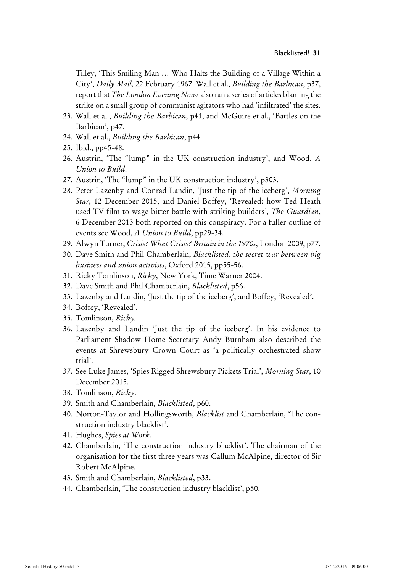Tilley, 'This Smiling Man … Who Halts the Building of a Village Within a City', *Daily Mail*, 22 February 1967. Wall et al., *Building the Barbican*, p37, report that *The London Evening News* also ran a series of articles blaming the strike on a small group of communist agitators who had 'infiltrated' the sites.

- 23. Wall et al., *Building the Barbican*, p41, and McGuire et al., 'Battles on the Barbican', p47.
- 24. Wall et al., *Building the Barbican*, p44.
- 25. Ibid., pp45-48.
- 26. Austrin, 'The "lump" in the UK construction industry', and Wood, *A Union to Build*.
- 27. Austrin, 'The "lump" in the UK construction industry', p303.
- 28. Peter Lazenby and Conrad Landin, 'Just the tip of the iceberg', *Morning Star*, 12 December 2015, and Daniel Boffey, 'Revealed: how Ted Heath used TV film to wage bitter battle with striking builders', *The Guardian*, 6 December 2013 both reported on this conspiracy. For a fuller outline of events see Wood, *A Union to Build*, pp29-34.
- 29. Alwyn Turner, *Crisis? What Crisis? Britain in the 1970s*, London 2009, p77.
- 30. Dave Smith and Phil Chamberlain, *Blacklisted: the secret war between big business and union activists*, Oxford 2015, pp55-56.
- 31. Ricky Tomlinson, *Ricky*, New York, Time Warner 2004.
- 32. Dave Smith and Phil Chamberlain, *Blacklisted*, p56.
- 33. Lazenby and Landin, 'Just the tip of the iceberg', and Boffey, 'Revealed'.
- 34. Boffey, 'Revealed'.
- 35. Tomlinson, *Ricky.*
- 36. Lazenby and Landin 'Just the tip of the iceberg'. In his evidence to Parliament Shadow Home Secretary Andy Burnham also described the events at Shrewsbury Crown Court as 'a politically orchestrated show trial'.
- 37. See Luke James, 'Spies Rigged Shrewsbury Pickets Trial', *Morning Star*, 10 December 2015.
- 38. Tomlinson, *Ricky*.
- 39. Smith and Chamberlain, *Blacklisted*, p60.
- 40. Norton-Taylor and Hollingsworth, *Blacklist* and Chamberlain, 'The construction industry blacklist'.
- 41. Hughes, *Spies at Work*.
- 42. Chamberlain, 'The construction industry blacklist'. The chairman of the organisation for the first three years was Callum McAlpine, director of Sir Robert McAlpine.
- 43. Smith and Chamberlain, *Blacklisted*, p33.
- 44. Chamberlain, 'The construction industry blacklist', p50.